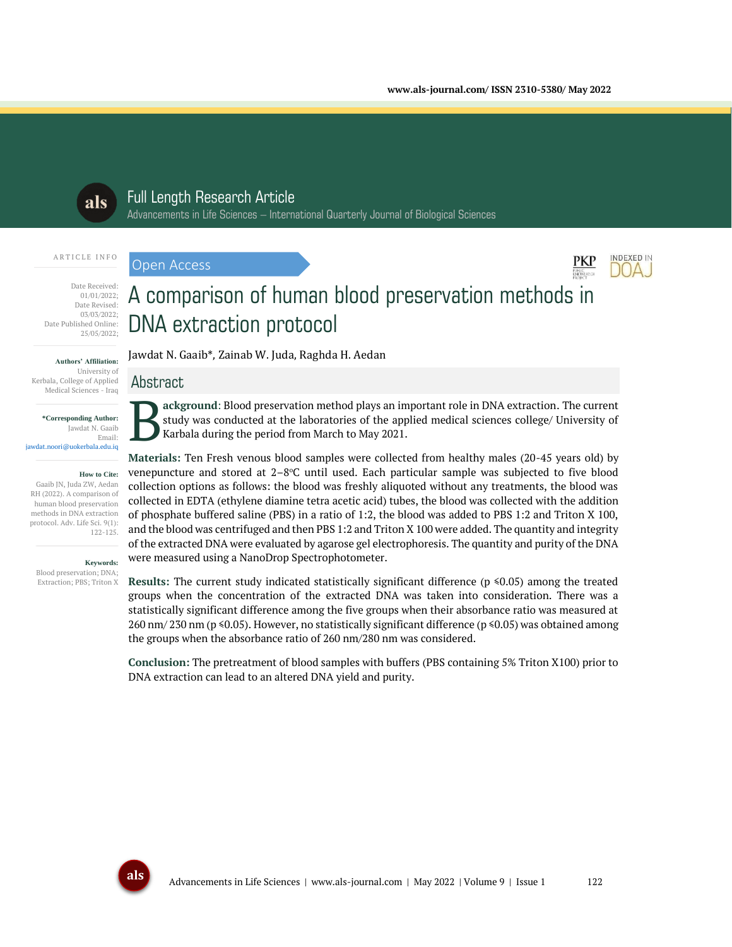

# Full Length Research Article

Advancements in Life Sciences – International Quarterly Journal of Biological Sciences

#### ARTICLE INFO

Open Access



#### Date Received: 01/01/2022; Date Revised: 03/03/2022; Date Published Online: 25/05/2022;

#### **Authors' Affiliation:**

University of Kerbala, College of Applied Medical Sciences - Iraq

**\*Corresponding Author:** Jawdat N. Gaaib Email: jawdat.noori@uokerbala.edu.iq

#### **How to Cite:**

Gaaib JN, Juda ZW, Aedan RH (2022). A comparison of human blood preservation methods in DNA extraction protocol. Adv. Life Sci. 9(1): 122-125.

**Keywords:**

Blood preservation; DNA; Extraction; PBS; Triton X

# A comparison of human blood preservation methods in DNA extraction protocol

Jawdat N. Gaaib\*, Zainab W. Juda, Raghda H. Aedan

# Abstract

**ackground**: Blood preservation method plays an important role in DNA extraction. The current study was conducted at the laboratories of the applied medical sciences college/ University of Karbala during the period from March to May 2021. B

**Materials:** Ten Fresh venous blood samples were collected from healthy males (20-45 years old) by venepuncture and stored at 2–8°C until used. Each particular sample was subjected to five blood collection options as follows: the blood was freshly aliquoted without any treatments, the blood was collected in EDTA (ethylene diamine tetra acetic acid) tubes, the blood was collected with the addition of phosphate buffered saline (PBS) in a ratio of 1:2, the blood was added to PBS 1:2 and Triton X 100, and the blood was centrifuged and then PBS 1:2 and Triton X 100 were added. The quantity and integrity of the extracted DNA were evaluated by agarose gel electrophoresis. The quantity and purity of the DNA were measured using a NanoDrop Spectrophotometer.

**Results:** The current study indicated statistically significant difference (p ≤0.05) among the treated groups when the concentration of the extracted DNA was taken into consideration. There was a statistically significant difference among the five groups when their absorbance ratio was measured at 260 nm/ 230 nm (p ≤0.05). However, no statistically significant difference (p ≤0.05) was obtained among the groups when the absorbance ratio of 260 nm/280 nm was considered.

**Conclusion:** The pretreatment of blood samples with buffers (PBS containing 5% Triton X100) prior to DNA extraction can lead to an altered DNA yield and purity.

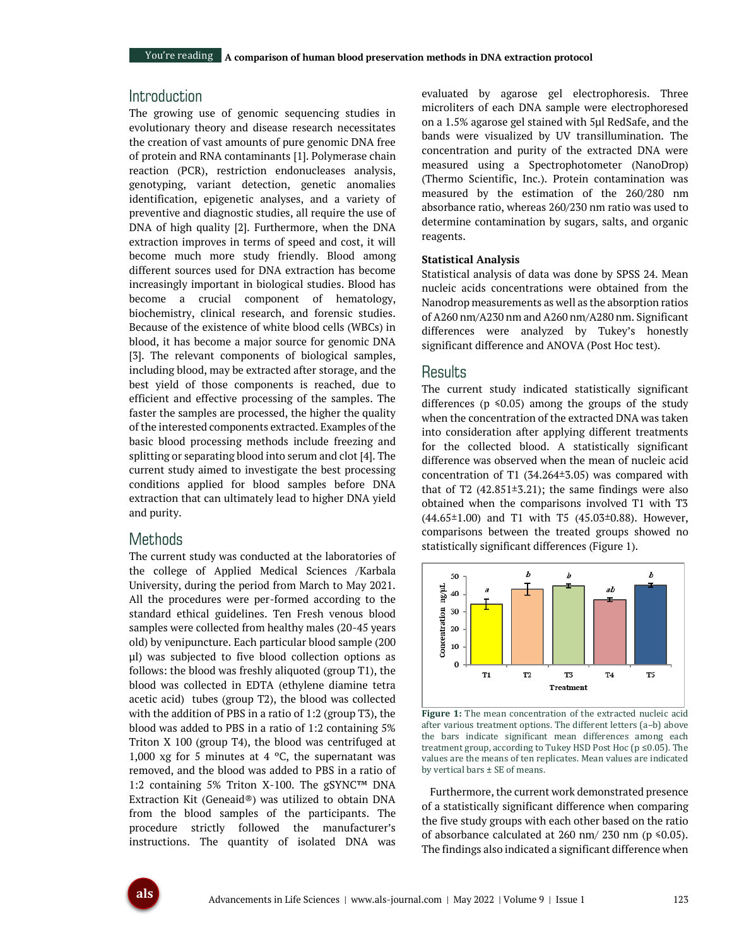# Introduction

The growing use of genomic sequencing studies in evolutionary theory and disease research necessitates the creation of vast amounts of pure genomic DNA free of protein and RNA contaminants [1]. Polymerase chain reaction (PCR), restriction endonucleases analysis, genotyping, variant detection, genetic anomalies identification, epigenetic analyses, and a variety of preventive and diagnostic studies, all require the use of DNA of high quality [2]. Furthermore, when the DNA extraction improves in terms of speed and cost, it will become much more study friendly. Blood among different sources used for DNA extraction has become increasingly important in biological studies. Blood has become a crucial component of hematology, biochemistry, clinical research, and forensic studies. Because of the existence of white blood cells (WBCs) in blood, it has become a major source for genomic DNA [3]. The relevant components of biological samples, including blood, may be extracted after storage, and the best yield of those components is reached, due to efficient and effective processing of the samples. The faster the samples are processed, the higher the quality of the interested components extracted. Examples of the basic blood processing methods include freezing and splitting or separating blood into serum and clot [4]. The current study aimed to investigate the best processing conditions applied for blood samples before DNA extraction that can ultimately lead to higher DNA yield and purity.

## **Methods**

The current study was conducted at the laboratories of the college of Applied Medical Sciences /Karbala University, during the period from March to May 2021. All the procedures were per-formed according to the standard ethical guidelines. Ten Fresh venous blood samples were collected from healthy males (20-45 years old) by venipuncture. Each particular blood sample (200 µl) was subjected to five blood collection options as follows: the blood was freshly aliquoted (group T1), the blood was collected in EDTA (ethylene diamine tetra acetic acid) tubes (group T2), the blood was collected with the addition of PBS in a ratio of 1:2 (group T3), the blood was added to PBS in a ratio of 1:2 containing 5% Triton X 100 (group T4), the blood was centrifuged at 1,000 xg for 5 minutes at 4  $^{\circ}$ C, the supernatant was removed, and the blood was added to PBS in a ratio of 1:2 containing 5% Triton X-100. The gSYNC™ DNA Extraction Kit (Geneaid®) was utilized to obtain DNA from the blood samples of the participants. The procedure strictly followed the manufacturer's instructions. The quantity of isolated DNA was

evaluated by agarose gel electrophoresis. Three microliters of each DNA sample were electrophoresed on a 1.5% agarose gel stained with 5µl RedSafe, and the bands were visualized by UV transillumination. The concentration and purity of the extracted DNA were measured using a Spectrophotometer (NanoDrop) (Thermo Scientific, Inc.). Protein contamination was measured by the estimation of the 260/280 nm absorbance ratio, whereas 260/230 nm ratio was used to determine contamination by sugars, salts, and organic reagents.

#### **Statistical Analysis**

Statistical analysis of data was done by SPSS 24. Mean nucleic acids concentrations were obtained from the Nanodrop measurements as well as the absorption ratios of A260 nm/A230 nm and A260 nm/A280 nm. Significant differences were analyzed by Tukey's honestly significant difference and ANOVA (Post Hoc test).

#### Results

The current study indicated statistically significant differences ( $p \le 0.05$ ) among the groups of the study when the concentration of the extracted DNA was taken into consideration after applying different treatments for the collected blood. A statistically significant difference was observed when the mean of nucleic acid concentration of T1 (34.264±3.05) was compared with that of T2  $(42.851\pm3.21)$ ; the same findings were also obtained when the comparisons involved T1 with T3  $(44.65 \pm 1.00)$  and T1 with T5  $(45.03 \pm 0.88)$ . However, comparisons between the treated groups showed no statistically significant differences (Figure 1).



**Figure 1:** The mean concentration of the extracted nucleic acid after various treatment options. The different letters (a–b) above the bars indicate significant mean differences among each treatment group, according to Tukey HSD Post Hoc (p ≤0.05). The values are the means of ten replicates. Mean values are indicated by vertical bars ± SE of means.

Furthermore, the current work demonstrated presence of a statistically significant difference when comparing the five study groups with each other based on the ratio of absorbance calculated at 260 nm/ 230 nm ( $p \le 0.05$ ). The findings also indicated a significant difference when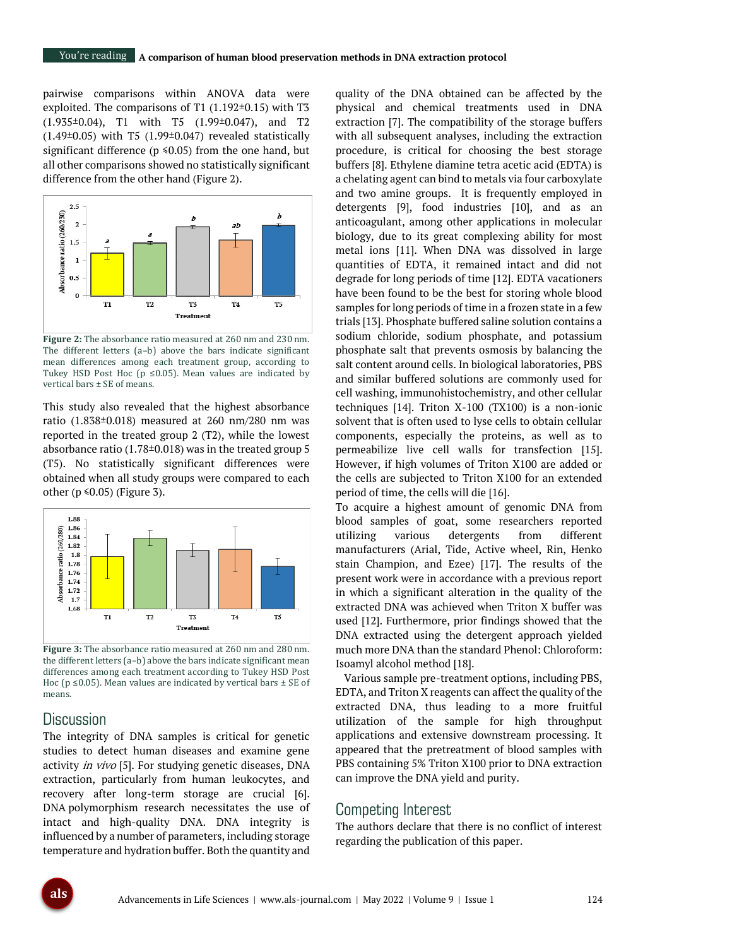pairwise comparisons within ANOVA data were exploited. The comparisons of T1 (1.192±0.15) with T3 (1.935±0.04), T1 with T5 (1.99±0.047), and T2 (1.49±0.05) with T5 (1.99±0.047) revealed statistically significant difference ( $p \le 0.05$ ) from the one hand, but all other comparisons showed no statistically significant difference from the other hand (Figure 2).



**Figure 2:** The absorbance ratio measured at 260 nm and 230 nm. The different letters (a–b) above the bars indicate significant mean differences among each treatment group, according to Tukey HSD Post Hoc ( $p \le 0.05$ ). Mean values are indicated by vertical bars ± SE of means.

This study also revealed that the highest absorbance ratio (1.838±0.018) measured at 260 nm/280 nm was reported in the treated group 2 (T2), while the lowest absorbance ratio (1.78±0.018) was in the treated group 5 (T5). No statistically significant differences were obtained when all study groups were compared to each other ( $p \le 0.05$ ) (Figure 3).



**Figure 3:** The absorbance ratio measured at 260 nm and 280 nm. the different letters (a–b) above the bars indicate significant mean differences among each treatment according to Tukey HSD Post Hoc ( $p \le 0.05$ ). Mean values are indicated by vertical bars  $\pm$  SE of means.

## **Discussion**

The integrity of DNA samples is critical for genetic studies to detect human diseases and examine gene activity in vivo [5]. For studying genetic diseases, DNA extraction, particularly from human leukocytes, and recovery after long-term storage are crucial [6]. DNA polymorphism research necessitates the use of intact and high-quality DNA. DNA integrity is influenced by a number of parameters, including storage temperature and hydration buffer. Both the quantity and

quality of the DNA obtained can be affected by the physical and chemical treatments used in DNA extraction [7]. The compatibility of the storage buffers with all subsequent analyses, including the extraction procedure, is critical for choosing the best storage buffers [8]. Ethylene diamine tetra acetic acid (EDTA) is a chelating agent can bind to metals via four carboxylate and two amine groups. It is frequently employed in detergents [9], food industries [10], and as an anticoagulant, among other applications in molecular biology, due to its great complexing ability for most metal ions [11]. When DNA was dissolved in large quantities of EDTA, it remained intact and did not degrade for long periods of time [12]. EDTA vacationers have been found to be the best for storing whole blood samples for long periods of time in a frozen state in a few trials [13]. Phosphate buffered saline solution contains a sodium chloride, sodium phosphate, and potassium phosphate salt that prevents osmosis by balancing the salt content around cells. In biological laboratories, PBS and similar buffered solutions are commonly used for cell washing, immunohistochemistry, and other cellular techniques [14]. Triton X-100 (TX100) is a non-ionic solvent that is often used to lyse cells to obtain cellular components, especially the proteins, as well as to permeabilize live cell walls for transfection [15]. However, if high volumes of Triton X100 are added or the cells are subjected to Triton X100 for an extended period of time, the cells will die [16].

To acquire a highest amount of genomic DNA from blood samples of goat, some researchers reported utilizing various detergents from different manufacturers (Arial, Tide, Active wheel, Rin, Henko stain Champion, and Ezee) [17]. The results of the present work were in accordance with a previous report in which a significant alteration in the quality of the extracted DNA was achieved when Triton X buffer was used [12]. Furthermore, prior findings showed that the DNA extracted using the detergent approach yielded much more DNA than the standard Phenol: Chloroform: Isoamyl alcohol method [18].

Various sample pre-treatment options, including PBS, EDTA, and Triton X reagents can affect the quality of the extracted DNA, thus leading to a more fruitful utilization of the sample for high throughput applications and extensive downstream processing. It appeared that the pretreatment of blood samples with PBS containing 5% Triton X100 prior to DNA extraction can improve the DNA yield and purity.

## Competing Interest

The authors declare that there is no conflict of interest regarding the publication of this paper.